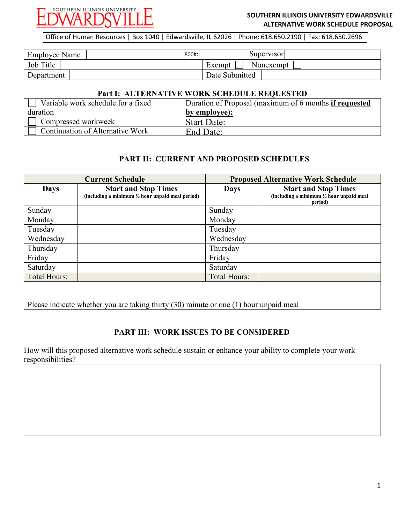

### **SOUTHERN ILLINOIS UNIVERSITY EDWARDSVILLE ALTERNATIVE WORK SCHEDULE PROPOSAL**

Office of Human Resources | Box 1040 | Edwardsville, IL 62026 | Phone: 618.650.2190 | Fax: 618.650.2696

| Employee Name | 800#: | Supervisor          |
|---------------|-------|---------------------|
| Job Title     |       | Nonexempt<br>Exempt |
| Department    |       | Date Submitted      |

#### **Part I: ALTERNATIVE WORK SCHEDULE REQUESTED**

| Variable work schedule for a fixed | Duration of Proposal (maximum of 6 months if requested |  |  |
|------------------------------------|--------------------------------------------------------|--|--|
| duration                           | by employee):                                          |  |  |
| Compressed workweek                | <b>Start Date:</b>                                     |  |  |
| Continuation of Alternative Work   | End Date:                                              |  |  |

# **PART II: CURRENT AND PROPOSED SCHEDULES**

| <b>Current Schedule</b>                                                                   |                                                                                            | <b>Proposed Alternative Work Schedule</b> |                                                                                               |  |  |
|-------------------------------------------------------------------------------------------|--------------------------------------------------------------------------------------------|-------------------------------------------|-----------------------------------------------------------------------------------------------|--|--|
| <b>Days</b>                                                                               | <b>Start and Stop Times</b><br>(including a minimum $\frac{1}{2}$ hour unpaid meal period) | <b>Days</b>                               | <b>Start and Stop Times</b><br>(including a minimum $\frac{1}{2}$ hour unpaid meal<br>period) |  |  |
| Sunday                                                                                    |                                                                                            | Sunday                                    |                                                                                               |  |  |
| Monday                                                                                    |                                                                                            | Monday                                    |                                                                                               |  |  |
| Tuesday                                                                                   |                                                                                            | Tuesday                                   |                                                                                               |  |  |
| Wednesday                                                                                 |                                                                                            | Wednesday                                 |                                                                                               |  |  |
| Thursday                                                                                  |                                                                                            | Thursday                                  |                                                                                               |  |  |
| Friday                                                                                    |                                                                                            | Friday                                    |                                                                                               |  |  |
| Saturday                                                                                  |                                                                                            | Saturday                                  |                                                                                               |  |  |
| <b>Total Hours:</b>                                                                       |                                                                                            | <b>Total Hours:</b>                       |                                                                                               |  |  |
| Please indicate whether you are taking thirty $(30)$ minute or one $(1)$ hour unpaid meal |                                                                                            |                                           |                                                                                               |  |  |

# **PART III: WORK ISSUES TO BE CONSIDERED**

How will this proposed alternative work schedule sustain or enhance your ability to complete your work responsibilities?